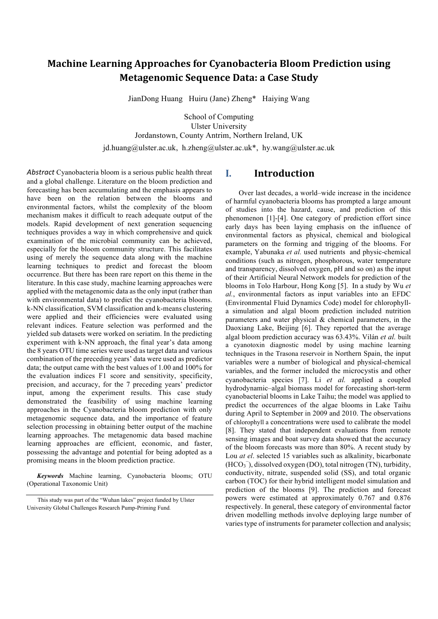# **Machine Learning Approaches for Cyanobacteria Bloom Prediction using Metagenomic Sequence Data: a Case Study**

JianDong Huang Huiru (Jane) Zheng\* Haiying Wang

School of Computing Ulster University Jordanstown, County Antrim, Northern Ireland, UK jd.huang@ulster.ac.uk, h.zheng@ulster.ac.uk\*, hy.wang@ulster.ac.uk

*Abstract* Cyanobacteria bloom is a serious public health threat and a global challenge. Literature on the bloom prediction and forecasting has been accumulating and the emphasis appears to have been on the relation between the blooms and environmental factors, whilst the complexity of the bloom mechanism makes it difficult to reach adequate output of the models. Rapid development of next generation sequencing techniques provides a way in which comprehensive and quick examination of the microbial community can be achieved, especially for the bloom community structure. This facilitates using of merely the sequence data along with the machine learning techniques to predict and forecast the bloom occurrence. But there has been rare report on this theme in the literature. In this case study, machine learning approaches were applied with the metagenomic data as the only input (rather than with environmental data) to predict the cyanobacteria blooms. k-NN classification, SVM classification and k-means clustering were applied and their efficiencies were evaluated using relevant indices. Feature selection was performed and the yielded sub datasets were worked on seriatim. In the predicting experiment with k-NN approach, the final year's data among the 8 years OTU time series were used as target data and various combination of the preceding years' data were used as predictor data; the output came with the best values of 1.00 and 100% for the evaluation indices F1 score and sensitivity, specificity, precision, and accuracy, for the 7 preceding years' predictor input, among the experiment results. This case study demonstrated the feasibility of using machine learning approaches in the Cyanobacteria bloom prediction with only metagenomic sequence data, and the importance of feature selection processing in obtaining better output of the machine learning approaches. The metagenomic data based machine learning approaches are efficient, economic, and faster, possessing the advantage and potential for being adopted as a promising means in the bloom prediction practice.

*Keywords* Machine learning, Cyanobacteria blooms; OTU (Operational Taxonomic Unit)

## **I. Introduction**

Over last decades, a world–wide increase in the incidence of harmful cyanobacteria blooms has prompted a large amount of studies into the hazard, cause, and prediction of this phenomenon [1]-[4]. One category of prediction effort since early days has been laying emphasis on the influence of environmental factors as physical, chemical and biological parameters on the forming and trigging of the blooms. For example, Yabunaka *et al.* used nutrients and physic-chemical conditions (such as nitrogen, phosphorous, water temperature and transparency, dissolved oxygen, pH and so on) as the input of their Artificial Neural Network models for prediction of the blooms in Tolo Harbour, Hong Kong [5]. In a study by Wu *et al.*, environmental factors as input variables into an EFDC (Environmental Fluid Dynamics Code) model for chlorophylla simulation and algal bloom prediction included nutrition parameters and water physical & chemical parameters, in the Daoxiang Lake, Beijing [6]. They reported that the average algal bloom prediction accuracy was 63.43%. Vilán *et al.* built a cyanotoxin diagnostic model by using machine learning techniques in the Trasona reservoir in Northern Spain, the input variables were a number of biological and physical-chemical variables, and the former included the microcystis and other cyanobacteria species [7]. Li *et al.* applied a coupled hydrodynamic–algal biomass model for forecasting short-term cyanobacterial blooms in Lake Taihu; the model was applied to predict the occurrences of the algae blooms in Lake Taihu during April to September in 2009 and 2010. The observations of chlorophyll a concentrations were used to calibrate the model [8]. They stated that independent evaluations from remote sensing images and boat survey data showed that the accuracy of the bloom forecasts was more than 80%. A recent study by Lou *at el*. selected 15 variables such as alkalinity, bicarbonate (HCO<sub>3</sub><sup>)</sup>, dissolved oxygen (DO), total nitrogen (TN), turbidity, conductivity, nitrate, suspended solid (SS), and total organic carbon (TOC) for their hybrid intelligent model simulation and prediction of the blooms [9]. The prediction and forecast powers were estimated at approximately 0.767 and 0.876 respectively. In general, these category of environmental factor driven modelling methods involve deploying large number of varies type of instruments for parameter collection and analysis;

This study was part of the "Wuhan lakes" project funded by Ulster University Global Challenges Research Pump-Priming Fund*.*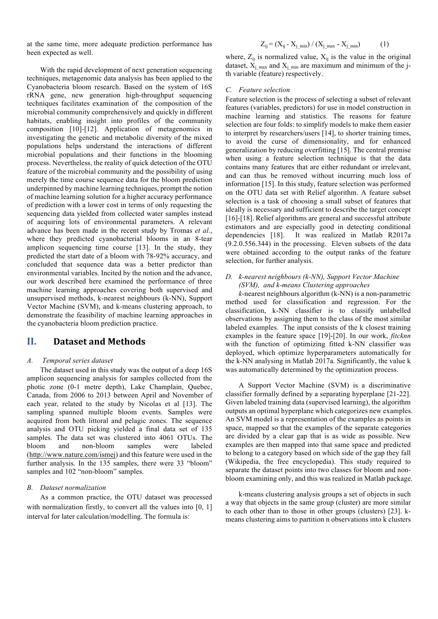at the same time, more adequate prediction performance has been expected as well.

With the rapid development of next generation sequencing techniques, metagenomic data analysis has been applied to the Cyanobacteria bloom research. Based on the system of 16S rRNA gene, new generation high-throughput sequencing techniques facilitates examination of the composition of the microbial community comprehensively and quickly in different habitats, enabling insight into profiles of the community composition [10]-[12]. Application of metagenomics in investigating the genetic and metabolic diversity of the mixed populations helps understand the interactions of different microbial populations and their functions in the blooming process. Nevertheless, the reality of quick detection of the OTU feature of the microbial community and the possibility of using merely the time course sequence data for the bloom prediction underpinned by machine learning techniques, prompt the notion of machine learning solution for a higher accuracy performance of prediction with a lower cost in terms of only requesting the sequencing data yielded from collected water samples instead of acquiring lots of environmental parameters. A relevant advance has been made in the recent study by Tromas *et al.*, where they predicted cyanobacterial blooms in an 8-tear amplicon sequencing time course [13]. In the study, they predicted the start date of a bloom with 78-92% accuracy, and concluded that sequence data was a better predictor than environmental variables. Incited by the notion and the advance, our work described here examined the performance of three machine learning approaches covering both supervised and unsupervised methods, k-nearest neighbours (k-NN), Support Vector Machine (SVM), and k-means clustering approach, to demonstrate the feasibility of machine learning approaches in the cyanobacteria bloom prediction practice.

## **II.** Dataset and Methods

### *A. Temporal series dataset*

The dataset used in this study was the output of a deep 16S amplicon sequencing analysis for samples collected from the photic zone (0-1 metre depth), Lake Champlain, Quebec, Canada, from 2006 to 2013 between April and November of each year, related to the study by Nicolas et al [13]. The sampling spanned multiple bloom events. Samples were acquired from both littoral and pelagic zones. The sequence analysis and OTU picking yielded a final data set of 135 samples. The data set was clustered into 4061 OTUs. The bloom and non-bloom samples were labeled (http://www.nature.com/ismej) and this feature were used in the further analysis. In the 135 samples, there were 33 "bloom" samples and 102 "non-bloom" samples.

### *B. Dataset normalization*

As a common practice, the OTU dataset was processed with normalization firstly, to convert all the values into [0, 1] interval for later calculation/modelling. The formula is:

$$
Z_{ij} = (X_{ij} - X_{j\_min}) / (X_{j\_max} - X_{j\_min})
$$
 (1)

where,  $Z_{ij}$  is normalized value,  $X_{ij}$  is the value in the original dataset,  $X_i_{max}$  and  $X_i_{min}$  are maximum and minimum of the jth variable (feature) respectively.

#### *C. Feature selection*

Feature selection is the process of selecting a subset of relevant features (variables, predictors) for use in model construction in machine learning and statistics. The reasons for feature selection are four folds: to simplify models to make them easier to interpret by researchers/users [14], to shorter training times, to avoid the curse of dimensionality, and for enhanced generalization by reducing overfitting [15]. The central premise when using a feature selection technique is that the data contains many features that are either redundant or irrelevant, and can thus be removed without incurring much loss of information [15]. In this study, feature selection was performed on the OTU data set with Relief algorithm. A feature subset selection is a task of choosing a small subset of features that ideally is necessary and sufficient to describe the target concept [16]-[18]. Relief algorithms are general and successful attribute estimators and are especially good in detecting conditional dependencies [18]. It was realized in Matlab R2017a (9.2.0.556.344) in the processing. Eleven subsets of the data were obtained according to the output ranks of the feature selection, for further analysis.

### *D. k-nearest neighbours (k-NN), Support Vector Machine (SVM), and k-means Clustering approaches*

*k*-nearest neighbours algorithm (k-NN) is a non-parametric method used for classification and regression. For the classification, k-NN classifier is to classify unlabelled observations by assigning them to the class of the most similar labeled examples. The input consists of the k closest training examples in the feature space [19]-[20]. In our work, *fitcknn* with the function of optimizing fitted k-NN classifier was deployed, which optimize hyperparameters automatically for the k-NN analysing in Matlab 2017a. Significantly, the value k was automatically determined by the optimization process.

A Support Vector Machine (SVM) is a discriminative classifier formally defined by a separating hyperplane [21-22]. Given labeled training data (supervised learning), the algorithm outputs an optimal hyperplane which categorizes new examples. An SVM model is a representation of the examples as points in space, mapped so that the examples of the separate categories are divided by a clear gap that is as wide as possible. New examples are then mapped into that same space and predicted to belong to a category based on which side of the gap they fall (Wikipedia, the free encyclopedia). This study required to separate the dataset points into two classes for bloom and nonbloom examining only, and this was realized in Matlab package.

k-means clustering analysis groups a set of objects in such a way that objects in the same group (cluster) are more similar to each other than to those in other groups (clusters) [23]. kmeans clustering aims to partition n observations into k clusters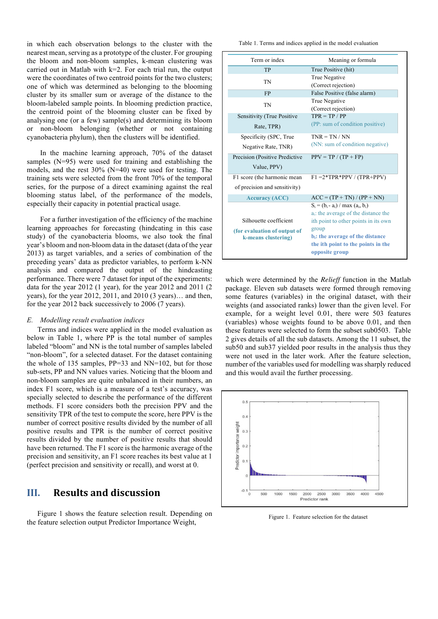in which each observation belongs to the cluster with the nearest mean, serving as a prototype of the cluster. For grouping the bloom and non-bloom samples, k-mean clustering was carried out in Matlab with  $k=2$ . For each trial run, the output were the coordinates of two centroid points for the two clusters; one of which was determined as belonging to the blooming cluster by its smaller sum or average of the distance to the bloom-labeled sample points. In blooming prediction practice, the centroid point of the blooming cluster can be fixed by analysing one (or a few) sample(s) and determining its bloom or non-bloom belonging (whether or not containing cyanobacteria phylum), then the clusters will be identified.

In the machine learning approach, 70% of the dataset samples (N=95) were used for training and establishing the models, and the rest 30% (N=40) were used for testing. The training sets were selected from the front 70% of the temporal series, for the purpose of a direct examining against the real blooming status label, of the performance of the models, especially their capacity in potential practical usage.

For a further investigation of the efficiency of the machine learning approaches for forecasting (hindcating in this case study) of the cyanobacteria blooms, we also took the final year's bloom and non-bloom data in the dataset (data of the year 2013) as target variables, and a series of combination of the preceding years' data as predictor variables, to perform k-NN analysis and compared the output of the hindcasting performance. There were 7 dataset for input of the experiments: data for the year 2012 (1 year), for the year 2012 and 2011 (2 years), for the year 2012, 2011, and 2010 (3 years)… and then, for the year 2012 back successively to 2006 (7 years).

#### *E. Modelling result evaluation indices*

Terms and indices were applied in the model evaluation as below in Table 1, where PP is the total number of samples labeled "bloom" and NN is the total number of samples labeled "non-bloom", for a selected dataset. For the dataset containing the whole of 135 samples, PP=33 and NN=102, but for those sub-sets, PP and NN values varies. Noticing that the bloom and non-bloom samples are quite unbalanced in their numbers, an index F1 score, which is a measure of a test's accuracy, was specially selected to describe the performance of the different methods. F1 score considers both the precision PPV and the sensitivity TPR of the test to compute the score, here PPV is the number of correct positive results divided by the number of all positive results and TPR is the number of correct positive results divided by the number of positive results that should have been returned. The F1 score is the harmonic average of the precision and sensitivity, an F1 score reaches its best value at 1 (perfect precision and sensitivity or recall), and worst at 0.

## **III.** Results and discussion

Figure 1 shows the feature selection result. Depending on the feature selection output Predictor Importance Weight,

Table 1. Terms and indices applied in the model evaluation

| Term or index                  | Meaning or formula                                                              |  |  |
|--------------------------------|---------------------------------------------------------------------------------|--|--|
| TP                             | True Positive (hit)                                                             |  |  |
| TN                             | True Negative<br>(Correct rejection)                                            |  |  |
| FP                             | False Positive (false alarm)                                                    |  |  |
| TN                             | True Negative<br>(Correct rejection)                                            |  |  |
| Sensitivity (True Positive     | $TPR = TP / PP$                                                                 |  |  |
| Rate, TPR)                     | (PP: sum of condition positive)                                                 |  |  |
| Specificity (SPC, True         | $TNR = TN / NN$                                                                 |  |  |
| Negative Rate, TNR)            | (NN: sum of condition negative)                                                 |  |  |
| Precision (Positive Predictive | $PPV = TP / (TP + FP)$                                                          |  |  |
| Value, PPV)                    |                                                                                 |  |  |
| F1 score (the harmonic mean    | $F1 = 2*TPR*PPV / (TPR+PPV)$                                                    |  |  |
| of precision and sensitivity)  |                                                                                 |  |  |
| <b>Accuracy (ACC)</b>          | $ACC = (TP + TN) / (PP + NN)$                                                   |  |  |
|                                | $S_i = (b_i - a_i) / max (a_i, b_i)$<br>$a_i$ : the average of the distance the |  |  |
| Silhouette coefficient         | ith point to other points in its own                                            |  |  |
| (for evaluation of output of   | group                                                                           |  |  |
| k-means clustering)            | b <sub>i</sub> : the average of the distance                                    |  |  |
|                                | the ith point to the points in the<br>opposite group                            |  |  |

which were determined by the *Relieff* function in the Matlab package. Eleven sub datasets were formed through removing some features (variables) in the original dataset, with their weights (and associated ranks) lower than the given level. For example, for a weight level 0.01, there were 503 features (variables) whose weights found to be above 0.01, and then these features were selected to form the subset sub0503. Table 2 gives details of all the sub datasets. Among the 11 subset, the sub50 and sub37 yielded poor results in the analysis thus they were not used in the later work. After the feature selection, number of the variables used for modelling was sharply reduced and this would avail the further processing.



Figure 1. Feature selection for the dataset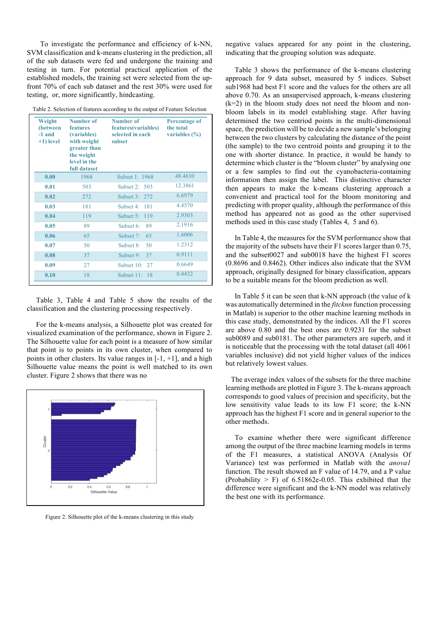To investigate the performance and efficiency of k-NN, SVM classification and k-means clustering in the prediction, all of the sub datasets were fed and undergone the training and testing in turn. For potential practical application of the established models, the training set were selected from the upfront 70% of each sub dataset and the rest 30% were used for testing, or, more significantly, hindcasting.

|  | Table 2. Selection of features according to the output of Feature Selection |
|--|-----------------------------------------------------------------------------|
|  |                                                                             |

| Weight<br>(between<br>-1 and<br>$+1$ ) level | Number of<br>features<br>(variables)<br>with weight<br>greater than<br>the weight<br>level in the<br>full dataset | Number of<br>features(variables)<br>selected in each<br>subset | <b>Percentage of</b><br>the total<br>variables $(\% )$ |
|----------------------------------------------|-------------------------------------------------------------------------------------------------------------------|----------------------------------------------------------------|--------------------------------------------------------|
| 0.00                                         | 1968                                                                                                              | Subset 1: 1968                                                 | 48.4610                                                |
| 0.01                                         | 503                                                                                                               | Subset $2: 503$                                                | 12.3861                                                |
| 0.02                                         | 272                                                                                                               | Subset $3:272$                                                 | 6.6979                                                 |
| 0.03                                         | 181                                                                                                               | Subset $4:181$                                                 | 4.4570                                                 |
| 0.04                                         | 119                                                                                                               | Subset 5: 119                                                  | 2.9303                                                 |
| 0.05                                         | 89                                                                                                                | Subset 6:<br>89                                                | 2.1916                                                 |
| 0.06                                         | 65                                                                                                                | Subset $7:$<br>65                                              | 1.6006                                                 |
| 0.07                                         | 50                                                                                                                | Subset $8$ :<br>50                                             | 1.2312                                                 |
| 0.08                                         | 37                                                                                                                | Subset 9: 37                                                   | 0.9111                                                 |
| 0.09                                         | 27                                                                                                                | Subset 10: 27                                                  | 0.6649                                                 |
| 0.10                                         | 18                                                                                                                | Subset 11: 18                                                  | 0.4432                                                 |

 Table 3, Table 4 and Table 5 show the results of the classification and the clustering processing respectively.

 For the k-means analysis, a Silhouette plot was created for visualized examination of the performance, shown in Figure 2. The Silhouette value for each point is a measure of how similar that point is to points in its own cluster, when compared to points in other clusters. Its value ranges in  $[-1, +1]$ , and a high Silhouette value means the point is well matched to its own cluster. Figure 2 shows that there was no



Figure 2. Silhouette plot of the k-means clustering in this study

negative values appeared for any point in the clustering, indicating that the grouping solution was adequate.

 Table 3 shows the performance of the k-means clustering approach for 9 data subset, measured by 5 indices. Subset sub1968 had best F1 score and the values for the others are all above 0.70. As an unsupervised approach, k-means clustering  $(k=2)$  in the bloom study does not need the bloom and nonbloom labels in its model establishing stage. After having determined the two centriod points in the multi-dimensional space, the prediction will be to decide a new sample's belonging between the two clusters by calculating the distance of the point (the sample) to the two centroid points and grouping it to the one with shorter distance. In practice, it would be handy to determine which cluster is the "bloom cluster" by analysing one or a few samples to find out the cyanobacteria-containing information then assign the label. This distinctive character then appears to make the k-means clustering approach a convenient and practical tool for the bloom monitoring and predicting with proper quality, although the performance of this method has appeared not as good as the other supervised methods used in this case study (Tables 4, 5 and 6).

 In Table 4, the measures for the SVM performance show that the majority of the subsets have their F1 scores larger than 0.75, and the subset0027 and sub0018 have the highest F1 scores (0.8696 and 0.8462). Other indices also indicate that the SVM approach, originally designed for binary classification, appears to be a suitable means for the bloom prediction as well.

 In Table 5 it can be seen that k-NN approach (the value of k was automatically determined in the *fitcknn* function processing in Matlab) is superior to the other machine learning methods in this case study, demonstrated by the indices. All the F1 scores are above 0.80 and the best ones are 0.9231 for the subset sub0089 and sub0181. The other parameters are superb, and it is noticeable that the processing with the total dataset (all 4061 variables inclusive) did not yield higher values of the indices but relatively lowest values.

 The average index values of the subsets for the three machine learning methods are plotted in Figure 3. The k-means approach corresponds to good values of precision and specificity, but the low sensitivity value leads to its low F1 score; the k-NN approach has the highest F1 score and in general superior to the other methods.

 To examine whether there were significant difference among the output of the three machine learning models in terms of the F1 measures, a statistical ANOVA (Analysis Of Variance) test was performed in Matlab with the *anova1*  function. The result showed an F value of 14.79, and a P value (Probability  $>$  F) of 6.51862e-0.05. This exhibited that the difference were significant and the k-NN model was relatively the best one with its performance.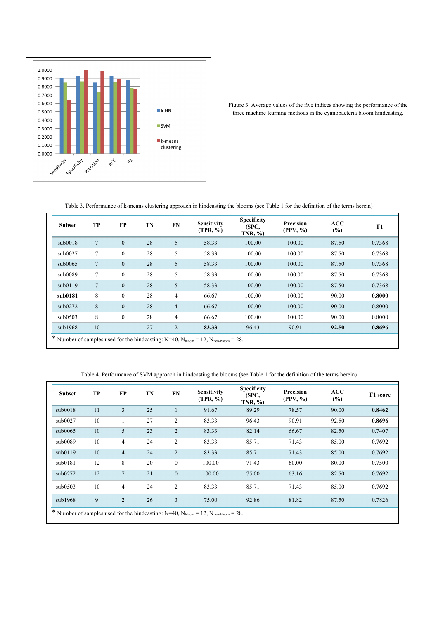

Figure 3. Average values of the five indices showing the performance of the three machine learning methods in the cyanobacteria bloom hindcasting.

Table 3. Performance of k-means clustering approach in hindcasting the blooms (see Table 1 for the definition of the terms herein)

| <b>Subset</b> | <b>TP</b>                                                                                                      | FP           | TN | <b>FN</b>      | <b>Sensitivity</b><br>(TPR, %) | <b>Specificity</b><br>(SPC,<br>TNR, % | Precision<br>(PPV, %) | ACC<br>$(\%)$ | F1     |
|---------------|----------------------------------------------------------------------------------------------------------------|--------------|----|----------------|--------------------------------|---------------------------------------|-----------------------|---------------|--------|
| sub0018       | $\overline{7}$                                                                                                 | $\mathbf{0}$ | 28 | 5              | 58.33                          | 100.00                                | 100.00                | 87.50         | 0.7368 |
| sub0027       | 7                                                                                                              | $\mathbf{0}$ | 28 | 5              | 58.33                          | 100.00                                | 100.00                | 87.50         | 0.7368 |
| sub0065       | 7                                                                                                              | $\mathbf{0}$ | 28 | 5              | 58.33                          | 100.00                                | 100.00                | 87.50         | 0.7368 |
| sub0089       | 7                                                                                                              | $\mathbf{0}$ | 28 | 5              | 58.33                          | 100.00                                | 100.00                | 87.50         | 0.7368 |
| sub0119       | 7                                                                                                              | $\mathbf{0}$ | 28 | 5              | 58.33                          | 100.00                                | 100.00                | 87.50         | 0.7368 |
| sub0181       | 8                                                                                                              | $\mathbf{0}$ | 28 | $\overline{4}$ | 66.67                          | 100.00                                | 100.00                | 90.00         | 0.8000 |
| sub0272       | 8                                                                                                              | $\mathbf{0}$ | 28 | $\overline{4}$ | 66.67                          | 100.00                                | 100.00                | 90.00         | 0.8000 |
| sub0503       | 8                                                                                                              | $\mathbf{0}$ | 28 | $\overline{4}$ | 66.67                          | 100.00                                | 100.00                | 90.00         | 0.8000 |
| sub1968       | 10                                                                                                             | $\mathbf{1}$ | 27 | $\overline{2}$ | 83.33                          | 96.43                                 | 90.91                 | 92.50         | 0.8696 |
|               | * Number of samples used for the hindcasting: $N=40$ , $N_{\text{bloom}} = 12$ , $N_{\text{non-bloom}} = 28$ . |              |    |                |                                |                                       |                       |               |        |

Table 4. Performance of SVM approach in hindcasting the blooms (see Table 1 for the definition of the terms herein)

| Subset  | TP                                                                                                             | FP             | TN | FN             | <b>Sensitivity</b><br>(TPR, %) | <b>Specificity</b><br>(SPC,<br>$TNR, \%$ | Precision<br>(PPV, %) | ACC<br>(%) | F1 score |
|---------|----------------------------------------------------------------------------------------------------------------|----------------|----|----------------|--------------------------------|------------------------------------------|-----------------------|------------|----------|
| sub0018 | 11                                                                                                             | 3              | 25 |                | 91.67                          | 89.29                                    | 78.57                 | 90.00      | 0.8462   |
| sub0027 | 10                                                                                                             |                | 27 | $\overline{2}$ | 83.33                          | 96.43                                    | 90.91                 | 92.50      | 0.8696   |
| sub0065 | 10                                                                                                             | 5              | 23 | $\overline{2}$ | 83.33                          | 82.14                                    | 66.67                 | 82.50      | 0.7407   |
| sub0089 | 10                                                                                                             | 4              | 24 | $\overline{2}$ | 83.33                          | 85.71                                    | 71.43                 | 85.00      | 0.7692   |
| sub0119 | 10                                                                                                             | $\overline{4}$ | 24 | $\overline{2}$ | 83.33                          | 85.71                                    | 71.43                 | 85.00      | 0.7692   |
| sub0181 | 12                                                                                                             | 8              | 20 | $\mathbf{0}$   | 100.00                         | 71.43                                    | 60.00                 | 80.00      | 0.7500   |
| sub0272 | 12                                                                                                             | $\overline{7}$ | 21 | $\mathbf{0}$   | 100.00                         | 75.00                                    | 63.16                 | 82.50      | 0.7692   |
| sub0503 | 10                                                                                                             | $\overline{4}$ | 24 | $\overline{2}$ | 83.33                          | 85.71                                    | 71.43                 | 85.00      | 0.7692   |
| sub1968 | 9                                                                                                              | 2              | 26 | 3              | 75.00                          | 92.86                                    | 81.82                 | 87.50      | 0.7826   |
|         | * Number of samples used for the hindcasting: $N=40$ , $N_{\text{bloom}} = 12$ , $N_{\text{non-bloom}} = 28$ . |                |    |                |                                |                                          |                       |            |          |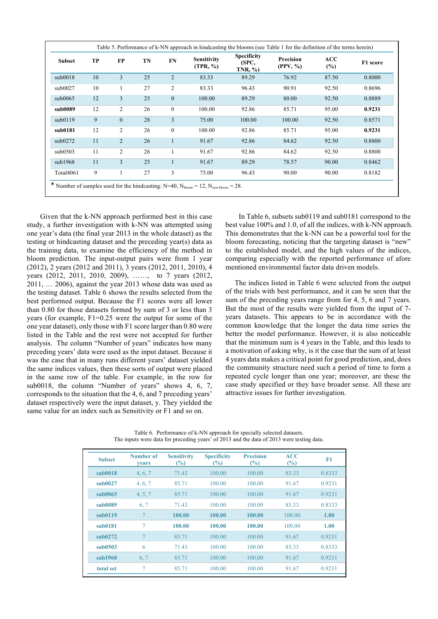| <b>Subset</b> | TP | FP             | TN | FN             | <b>Sensitivity</b><br>(TPR, %) | <b>Specificity</b><br>(SPC,<br>$TNR, \%$ | <b>Precision</b><br>(PPV, %) | ACC<br>(%) | F1 score |
|---------------|----|----------------|----|----------------|--------------------------------|------------------------------------------|------------------------------|------------|----------|
| sub0018       | 10 | 3              | 25 | $\overline{2}$ | 83.33                          | 89.29                                    | 76.92                        | 87.50      | 0.8000   |
| sub0027       | 10 | 1              | 27 | 2              | 83.33                          | 96.43                                    | 90.91                        | 92.50      | 0.8696   |
| sub0065       | 12 | 3              | 25 | $\mathbf{0}$   | 100.00                         | 89.29                                    | 80.00                        | 92.50      | 0.8889   |
| sub0089       | 12 | $\overline{c}$ | 26 | $\mathbf{0}$   | 100.00                         | 92.86                                    | 85.71                        | 95.00      | 0.9231   |
| sub0119       | 9  | $\mathbf{0}$   | 28 | 3              | 75.00                          | 100.00                                   | 100.00                       | 92.50      | 0.8571   |
| sub0181       | 12 | $\overline{c}$ | 26 | $\theta$       | 100.00                         | 92.86                                    | 85.71                        | 95.00      | 0.9231   |
| sub0272       | 11 | $\overline{2}$ | 26 |                | 91.67                          | 92.86                                    | 84.62                        | 92.50      | 0.8800   |
| sub0503       | 11 | 2              | 26 |                | 91.67                          | 92.86                                    | 84.62                        | 92.50      | 0.8800   |
| sub1968       | 11 | 3              | 25 |                | 91.67                          | 89.29                                    | 78.57                        | 90.00      | 0.8462   |
| Total4061     | 9  |                | 27 | 3              | 75.00                          | 96.43                                    | 90.00                        | 90.00      | 0.8182   |

Given that the k-NN approach performed best in this case study, a further investigation with k-NN was attempted using one year's data (the final year 2013 in the whole dataset) as the testing or hindcasting dataset and the preceding year(s) data as the training data, to examine the efficiency of the method in bloom prediction. The input-output pairs were from 1 year (2012), 2 years (2012 and 2011), 3 years (2012, 2011, 2010), 4 years (2012, 2011, 2010, 2009), ……, to 7 years (2012, 2011, … 2006), against the year 2013 whose data was used as the testing dataset. Table 6 shows the results selected from the best performed output. Because the F1 scores were all lower than 0.80 for those datasets formed by sum of 3 or less than 3 years (for example, F1=0.25 were the output for some of the one year dataset), only those with F1 score larger than 0.80 were listed in the Table and the rest were not accepted for further analysis. The column "Number of years" indicates how many preceding years' data were used as the input dataset. Because it was the case that in many runs different years' dataset yielded the same indices values, then these sorts of output were placed in the same row of the table. For example, in the row for sub0018, the column "Number of years" shows 4, 6, 7, corresponds to the situation that the 4, 6, and 7 preceding years' dataset respectively were the input dataset, y. They yielded the same value for an index such as Sensitivity or F1 and so on.

In Table 6, subsets sub0119 and sub0181 correspond to the best value 100% and 1.0, of all the indices, with k-NN approach. This demonstrates that the k-NN can be a powerful tool for the bloom forecasting, noticing that the targeting dataset is "new" to the established model, and the high values of the indices, comparing especially with the reported performance of afore mentioned environmental factor data driven models.

 The indices listed in Table 6 were selected from the output of the trials with best performance, and it can be seen that the sum of the preceding years range from for 4, 5, 6 and 7 years. But the most of the results were yielded from the input of 7 years datasets. This appears to be in accordance with the common knowledge that the longer the data time series the better the model performance. However, it is also noticeable that the minimum sum is 4 years in the Table, and this leads to a motivation of asking why, is it the case that the sum of at least 4 years data makes a critical point for good prediction, and, does the community structure need such a period of time to form a repeated cycle longer than one year; moreover, are these the case study specified or they have broader sense. All these are attractive issues for further investigation.

| <b>Subset</b> | Number of<br>years | <b>Sensitivity</b><br>(%) | <b>Specificity</b><br>$\frac{6}{2}$ | <b>Precision</b><br>(%) | <b>ACC</b><br>(%) | F1     |
|---------------|--------------------|---------------------------|-------------------------------------|-------------------------|-------------------|--------|
| sub0018       | 4, 6, 7            | 71.43                     | 100.00                              | 100.00                  | 83.33             | 0.8333 |
| sub0027       | 4, 6, 7            | 85.71                     | 100.00                              | 100.00                  | 91.67             | 0.9231 |
| sub0065       | 4, 5, 7            | 85.71                     | 100.00                              | 100.00                  | 91.67             | 0.9231 |
| sub0089       | 6, 7               | 71.43                     | 100.00                              | 100.00                  | 83.33             | 0.8333 |
| sub0119       |                    | 100.00                    | 100.00                              | 100.00                  | 100.00            | 1.00   |
| sub0181       | 7                  | 100.00                    | 100.00                              | 100.00                  | 100.00            | 1.00   |
| sub0272       |                    | 85.71                     | 100.00                              | 100.00                  | 91.67             | 0.9231 |
| sub0503       | 6                  | 71.43                     | 100.00                              | 100.00                  | 83.33             | 0.8333 |
| sub1968       | 6.7                | 85.71                     | 100.00                              | 100.00                  | 91.67             | 0.9231 |
| total set     | 7                  | 85.71                     | 100.00                              | 100.00                  | 91.67             | 0.9231 |

Table 6. Performance of k-NN approach for specially selected datasets. The inputs were data for preceding years' of 2013 and the data of 2013 were testing data.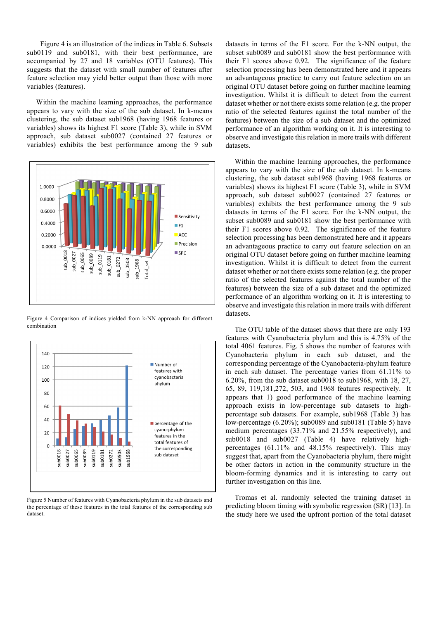Figure 4 is an illustration of the indices in Table 6. Subsets sub0119 and sub0181, with their best performance, are accompanied by 27 and 18 variables (OTU features). This suggests that the dataset with small number of features after feature selection may yield better output than those with more variables (features).

 Within the machine learning approaches, the performance appears to vary with the size of the sub dataset. In k-means clustering, the sub dataset sub1968 (having 1968 features or variables) shows its highest F1 score (Table 3), while in SVM approach, sub dataset sub0027 (contained 27 features or variables) exhibits the best performance among the 9 sub



Figure 4 Comparison of indices yielded from k-NN approach for different combination



Figure 5 Number of features with Cyanobacteria phylum in the sub datasets and the percentage of these features in the total features of the corresponding sub dataset.

datasets in terms of the F1 score. For the k-NN output, the subset sub0089 and sub0181 show the best performance with their F1 scores above 0.92. The significance of the feature selection processing has been demonstrated here and it appears an advantageous practice to carry out feature selection on an original OTU dataset before going on further machine learning investigation. Whilst it is difficult to detect from the current dataset whether or not there exists some relation (e.g. the proper ratio of the selected features against the total number of the features) between the size of a sub dataset and the optimized performance of an algorithm working on it. It is interesting to observe and investigate this relation in more trails with different datasets.

 Within the machine learning approaches, the performance appears to vary with the size of the sub dataset. In k-means clustering, the sub dataset sub1968 (having 1968 features or variables) shows its highest F1 score (Table 3), while in SVM approach, sub dataset sub0027 (contained 27 features or variables) exhibits the best performance among the 9 sub datasets in terms of the F1 score. For the k-NN output, the subset sub0089 and sub0181 show the best performance with their F1 scores above 0.92. The significance of the feature selection processing has been demonstrated here and it appears an advantageous practice to carry out feature selection on an original OTU dataset before going on further machine learning investigation. Whilst it is difficult to detect from the current dataset whether or not there exists some relation (e.g. the proper ratio of the selected features against the total number of the features) between the size of a sub dataset and the optimized performance of an algorithm working on it. It is interesting to observe and investigate this relation in more trails with different datasets.

 The OTU table of the dataset shows that there are only 193 features with Cyanobacteria phylum and this is 4.75% of the total 4061 features. Fig. 5 shows the number of features with Cyanobacteria phylum in each sub dataset, and the corresponding percentage of the Cyanobacteria-phylum feature in each sub dataset. The percentage varies from 61.11% to 6.20%, from the sub dataset sub0018 to sub1968, with 18, 27, 65, 89, 119,181,272, 503, and 1968 features respectively. It appears that 1) good performance of the machine learning approach exists in low-percentage sub datasets to highpercentage sub datasets. For example, sub1968 (Table 3) has low-percentage (6.20%); sub0089 and sub0181 (Table 5) have medium percentages (33.71% and 21.55% respectively), and sub0018 and sub0027 (Table 4) have relatively highpercentages (61.11% and 48.15% respectively). This may suggest that, apart from the Cyanobacteria phylum, there might be other factors in action in the community structure in the bloom-forming dynamics and it is interesting to carry out further investigation on this line.

 Tromas et al. randomly selected the training dataset in predicting bloom timing with symbolic regression (SR) [13]. In the study here we used the upfront portion of the total dataset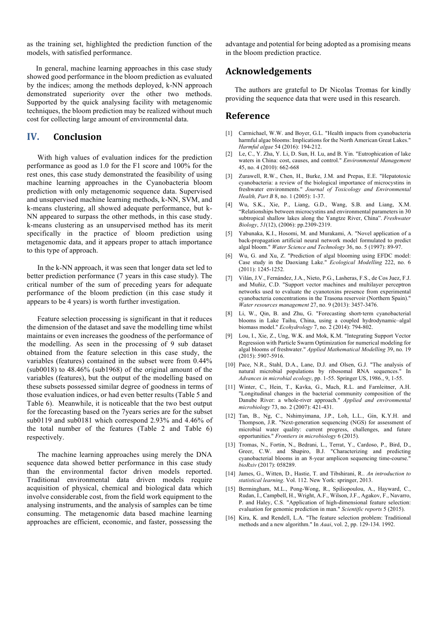as the training set, highlighted the prediction function of the models, with satisfied performance.

 In general, machine learning approaches in this case study showed good performance in the bloom prediction as evaluated by the indices; among the methods deployed, k-NN approach demonstrated superiority over the other two methods. Supported by the quick analysing facility with metagenomic techniques, the bloom prediction may be realized without much cost for collecting large amount of environmental data.

## **IV. Conclusion**

With high values of evaluation indices for the prediction performance as good as 1.0 for the F1 score and 100% for the rest ones, this case study demonstrated the feasibility of using machine learning approaches in the Cyanobacteria bloom prediction with only metagenomic sequence data. Supervised and unsupervised machine learning methods, k-NN, SVM, and k-means clustering, all showed adequate performance, but k-NN appeared to surpass the other methods, in this case study. k-means clustering as an unsupervised method has its merit specifically in the practice of bloom prediction using metagenomic data, and it appears proper to attach importance to this type of approach.

In the k-NN approach, it was seen that longer data set led to better prediction performance (7 years in this case study). The critical number of the sum of preceding years for adequate performance of the bloom prediction (in this case study it appears to be 4 years) is worth further investigation.

Feature selection processing is significant in that it reduces the dimension of the dataset and save the modelling time whilst maintains or even increases the goodness of the performance of the modelling. As seen in the processing of 9 sub dataset obtained from the feature selection in this case study, the variables (features) contained in the subset were from 0.44% (sub0018) to 48.46% (sub1968) of the original amount of the variables (features), but the output of the modelling based on these subsets possessed similar degree of goodness in terms of those evaluation indices, or had even better results (Table 5 and Table 6). Meanwhile, it is noticeable that the two best output for the forecasting based on the 7years series are for the subset sub0119 and sub0181 which correspond 2.93% and 4.46% of the total number of the features (Table 2 and Table 6) respectively.

The machine learning approaches using merely the DNA sequence data showed better performance in this case study than the environmental factor driven models reported. Traditional environmental data driven models require acquisition of physical, chemical and biological data which involve considerable cost, from the field work equipment to the analysing instruments, and the analysis of samples can be time consuming. The metagenomic data based machine learning approaches are efficient, economic, and faster, possessing the

advantage and potential for being adopted as a promising means in the bloom prediction practice.

### **Acknowledgements**

 The authors are grateful to Dr Nicolas Tromas for kindly providing the sequence data that were used in this research.

### **Reference**

- [1] Carmichael, W.W. and Boyer, G.L. "Health impacts from cyanobacteria harmful algae blooms: Implications for the North American Great Lakes." *Harmful algae* 54 (2016): 194-212.
- [2] Le, C., Y. Zha, Y. Li, D. Sun, H. Lu, and B. Yin. "Eutrophication of lake waters in China: cost, causes, and control." *Environmental Management* 45, no. 4 (2010): 662-668
- [3] Zurawell, R.W., Chen, H., Burke, J.M. and Prepas, E.E. "Hepatotoxic cyanobacteria: a review of the biological importance of microcystins in freshwater environments." *Journal of Toxicology and Environmental Health, Part B* 8, no. 1 (2005): 1-37.
- [4] Wu, S.K., Xie, P., Liang, G.D., Wang, S.B. and Liang, X.M. "Relationships between microcystins and environmental parameters in 30 subtropical shallow lakes along the Yangtze River, China". *Freshwater Biology*, *51*(12), (2006): pp.2309-2319.
- [5] Yabunaka, K.I., Hosomi, M. and Murakami, A. "Novel application of a back-propagation artificial neural network model formulated to predict algal bloom." *Water Science and Technology* 36, no. 5 (1997): 89-97.
- [6] Wu, G. and Xu, Z. "Prediction of algal blooming using EFDC model: Case study in the Daoxiang Lake." *Ecological Modelling* 222, no. 6 (2011): 1245-1252.
- [7] Vilán, J.V., Fernández, J.A., Nieto, P.G., Lasheras, F.S., de Cos Juez, F.J. and Muñiz, C.D. "Support vector machines and multilayer perceptron networks used to evaluate the cyanotoxins presence from experimental cyanobacteria concentrations in the Trasona reservoir (Northern Spain)." *Water resources management* 27, no. 9 (2013): 3457-3476.
- [8] Li, W., Qin, B. and Zhu, G. "Forecasting short-term cyanobacterial blooms in Lake Taihu, China, using a coupled hydrodynamic–algal biomass model." *Ecohydrology* 7, no. 2 (2014): 794-802.
- [9] Lou, I., Xie, Z., Ung, W.K. and Mok, K.M. "Integrating Support Vector Regression with Particle Swarm Optimization for numerical modeling for algal blooms of freshwater." *Applied Mathematical Modelling* 39, no. 19 (2015): 5907-5916.
- [10] Pace, N.R., Stahl, D.A., Lane, D.J. and Olsen, G.J. "The analysis of natural microbial populations by ribosomal RNA sequences." In *Advances in microbial ecology*, pp. 1-55. Springer US, 1986., 9, 1-55.
- [11] Winter, C., Hein, T., Kavka, G., Mach, R.L. and Farnleitner, A.H. "Longitudinal changes in the bacterial community composition of the Danube River: a whole-river approach." *Applied and environmental microbiology* 73, no. 2 (2007): 421-431.
- [12] Tan, B., Ng, C., Nshimyimana, J.P., Loh, L.L., Gin, K.Y.H. and Thompson, J.R. "Next-generation sequencing (NGS) for assessment of microbial water quality: current progress, challenges, and future opportunities." *Frontiers in microbiology* 6 (2015).
- [13] Tromas, N., Fortin, N., Bedrani, L., Terrat, Y., Cardoso, P., Bird, D., Greer, C.W. and Shapiro, B.J. "Characterizing and predicting cyanobacterial blooms in an 8-year amplicon sequencing time-course." *bioRxiv* (2017): 058289.
- [14] James, G., Witten, D., Hastie, T. and Tibshirani, R.. *An introduction to statistical learning*. Vol. 112. New York: springer, 2013.
- [15] Bermingham, M.L., Pong-Wong, R., Spiliopoulou, A., Hayward, C., Rudan, I., Campbell, H., Wright, A.F., Wilson, J.F., Agakov, F., Navarro, P. and Haley, C.S. "Application of high-dimensional feature selection: evaluation for genomic prediction in man." *Scientific reports* 5 (2015).
- [16] Kira, K. and Rendell, L.A. "The feature selection problem: Traditional methods and a new algorithm." In *Aaai*, vol. 2, pp. 129-134. 1992.